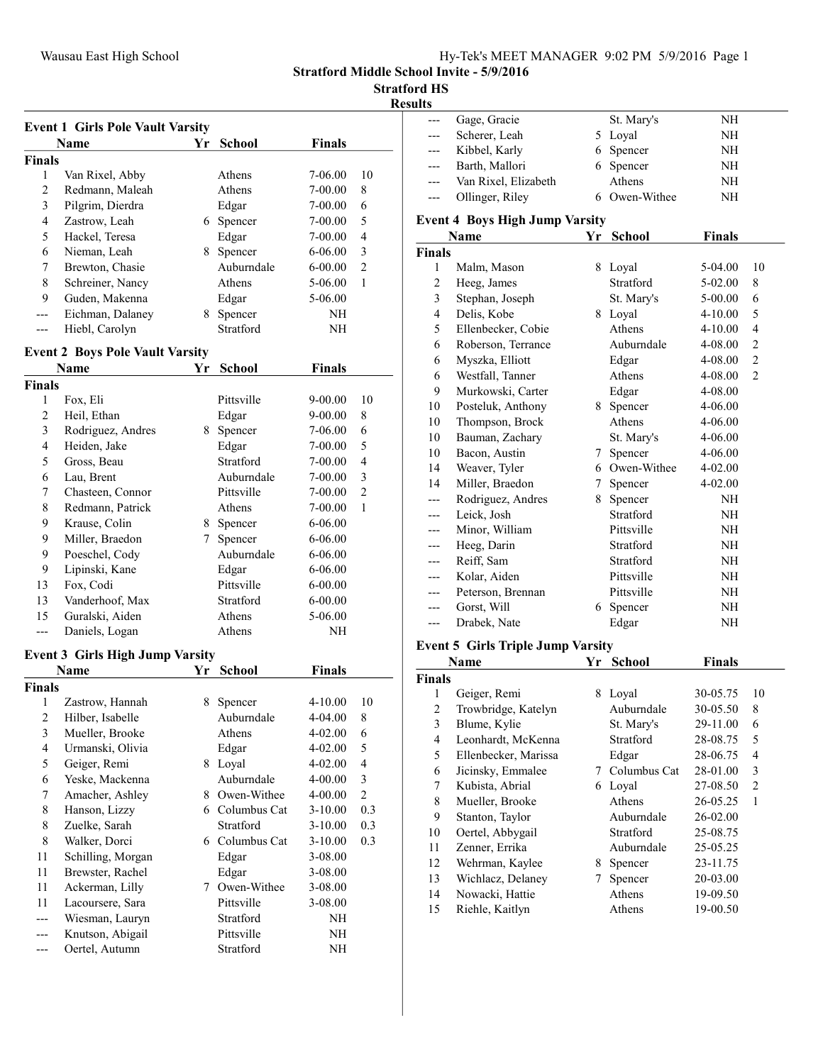## Stratford HS

Results

|                              | <b>Event 1 Girls Pole Vault Varsity</b> |    |                      |                        |                         |
|------------------------------|-----------------------------------------|----|----------------------|------------------------|-------------------------|
|                              | <b>Name</b>                             | Yr | <b>School</b>        | <b>Finals</b>          |                         |
| Finals                       |                                         |    |                      |                        |                         |
| 1                            | Van Rixel, Abby                         |    | Athens               | 7-06.00                | 10                      |
| $\overline{2}$               | Redmann, Maleah                         |    | Athens               | 7-00.00                | 8                       |
| 3                            | Pilgrim, Dierdra                        |    | Edgar                | 7-00.00                | 6                       |
| 4                            | Zastrow, Leah                           |    | 6 Spencer            | 7-00.00                | 5                       |
| 5                            | Hackel, Teresa                          |    | Edgar                | 7-00.00                | 4                       |
| 6                            | Nieman, Leah                            |    | 8 Spencer            | 6-06.00                | 3                       |
| 7                            | Brewton, Chasie                         |    | Auburndale           | $6 - 00.00$            | $\overline{2}$          |
| 8                            | Schreiner, Nancy                        |    | Athens               | $5 - 06.00$            | 1                       |
| 9                            | Guden, Makenna                          |    | Edgar                | 5-06.00                |                         |
| ---                          | Eichman, Dalaney                        |    | 8 Spencer            | NH                     |                         |
| $---$                        | Hiebl, Carolyn                          |    | Stratford            | NΗ                     |                         |
|                              | <b>Event 2 Boys Pole Vault Varsity</b>  |    |                      |                        |                         |
|                              | Name                                    | Yr | <b>School</b>        | <b>Finals</b>          |                         |
| Finals                       |                                         |    |                      |                        |                         |
| 1                            | Fox, Eli                                |    | Pittsville           | 9-00.00                | 10                      |
| $\overline{c}$               | Heil, Ethan                             |    | Edgar                | 9-00.00                | 8                       |
| 3                            | Rodriguez, Andres                       |    | 8 Spencer            | 7-06.00                | 6                       |
| 4                            | Heiden, Jake                            |    | Edgar                | 7-00.00                | 5                       |
| 5                            | Gross, Beau                             |    | Stratford            | 7-00.00                | 4                       |
| 6                            | Lau, Brent                              |    | Auburndale           | 7-00.00                | 3                       |
| 7                            | Chasteen, Connor                        |    | Pittsville           | 7-00.00                | $\overline{c}$          |
| 8                            | Redmann, Patrick                        |    | Athens               | 7-00.00                | 1                       |
| 9                            | Krause, Colin                           |    | 8 Spencer            | 6-06.00                |                         |
| 9                            | Miller, Braedon                         |    | 7 Spencer            | 6-06.00                |                         |
| 9                            | Poeschel, Cody                          |    | Auburndale           | 6-06.00                |                         |
| 9                            | Lipinski, Kane                          |    | Edgar                | 6-06.00                |                         |
| 13                           | Fox, Codi                               |    | Pittsville           | 6-00.00                |                         |
| 13                           | Vanderhoof, Max                         |    | Stratford            | $6 - 00.00$            |                         |
| 15                           | Guralski, Aiden                         |    | Athens               | 5-06.00                |                         |
| $---$                        | Daniels, Logan                          |    | Athens               | NΗ                     |                         |
|                              |                                         |    |                      |                        |                         |
|                              | <b>Event 3 Girls High Jump Varsity</b>  |    |                      |                        |                         |
|                              | Name                                    | Yr | School               | <b>Finals</b>          |                         |
| <b>Finals</b>                |                                         |    |                      |                        |                         |
| 1                            | Zastrow, Hannah                         | 8  | Spencer              | $4 - 10.00$<br>4-04.00 | 10<br>8                 |
| $\overline{\mathbf{c}}$      | Hilber, Isabelle                        |    | Auburndale<br>Athens |                        |                         |
| 3<br>$\overline{\mathbf{4}}$ | Mueller, Brooke<br>Urmanski, Olivia     |    | Edgar                | 4-02.00<br>4-02.00     | 6<br>5                  |
| 5                            | Geiger, Remi                            |    | 8 Loyal              | 4-02.00                | $\overline{\mathbf{4}}$ |
| 6                            | Yeske, Mackenna                         |    | Auburndale           | 4-00.00                | 3                       |
| 7                            | Amacher, Ashley                         |    | 8 Owen-Withee        | 4-00.00                | $\overline{c}$          |
| 8                            | Hanson, Lizzy                           |    | 6 Columbus Cat       | 3-10.00                | 0.3                     |
| 8                            | Zuelke, Sarah                           |    | Stratford            | $3-10.00$              | 0.3                     |
|                              |                                         |    | 6 Columbus Cat       |                        | 0.3                     |
| 8<br>11                      | Walker, Dorci<br>Schilling, Morgan      |    | Edgar                | $3-10.00$<br>3-08.00   |                         |
| 11                           | Brewster, Rachel                        |    | Edgar                | 3-08.00                |                         |
| 11                           | Ackerman, Lilly                         |    | 7 Owen-Withee        |                        |                         |
| 11                           | Lacoursere, Sara                        |    | Pittsville           | 3-08.00<br>3-08.00     |                         |
|                              | Wiesman, Lauryn                         |    | Stratford            | NH                     |                         |
| ---                          | Knutson, Abigail                        |    | Pittsville           | NH                     |                         |
|                              | Oertel, Autumn                          |    | Stratford            | NH                     |                         |
|                              |                                         |    |                      |                        |                         |

| ultə                                                                                            |                      |    |               |             |                |  |  |  |  |
|-------------------------------------------------------------------------------------------------|----------------------|----|---------------|-------------|----------------|--|--|--|--|
| ---                                                                                             | Gage, Gracie         |    | St. Mary's    | NH          |                |  |  |  |  |
| ---                                                                                             | Scherer, Leah        |    | 5 Loyal       | NH          |                |  |  |  |  |
|                                                                                                 | Kibbel, Karly        |    | 6 Spencer     | NH          |                |  |  |  |  |
| $---$                                                                                           | Barth, Mallori       |    | 6 Spencer     | NH          |                |  |  |  |  |
|                                                                                                 | Van Rixel, Elizabeth |    | Athens        | NΗ          |                |  |  |  |  |
| ---                                                                                             | Ollinger, Riley      |    | 6 Owen-Withee | NΗ          |                |  |  |  |  |
|                                                                                                 |                      |    |               |             |                |  |  |  |  |
| <b>Event 4 Boys High Jump Varsity</b><br><b>School</b><br><b>Finals</b><br>Name<br>Yr.          |                      |    |               |             |                |  |  |  |  |
|                                                                                                 |                      |    |               |             |                |  |  |  |  |
| <b>Finals</b>                                                                                   |                      |    |               | 5-04.00     |                |  |  |  |  |
| 1                                                                                               | Malm, Mason          |    | 8 Loyal       |             | 10             |  |  |  |  |
| 2                                                                                               | Heeg, James          |    | Stratford     | 5-02.00     | 8              |  |  |  |  |
| $\mathfrak{Z}$                                                                                  | Stephan, Joseph      |    | St. Mary's    | 5-00.00     | 6              |  |  |  |  |
| 4                                                                                               | Delis, Kobe          |    | 8 Loyal       | 4-10.00     | 5              |  |  |  |  |
| 5                                                                                               | Ellenbecker, Cobie   |    | Athens        | $4 - 10.00$ | 4              |  |  |  |  |
| 6                                                                                               | Roberson, Terrance   |    | Auburndale    | 4-08.00     | $\overline{2}$ |  |  |  |  |
| 6                                                                                               | Myszka, Elliott      |    | Edgar         | 4-08.00     | $\overline{c}$ |  |  |  |  |
| 6                                                                                               | Westfall, Tanner     |    | Athens        | 4-08.00     | $\overline{2}$ |  |  |  |  |
| 9                                                                                               | Murkowski, Carter    |    | Edgar         | 4-08.00     |                |  |  |  |  |
| 10                                                                                              | Posteluk, Anthony    |    | 8 Spencer     | 4-06.00     |                |  |  |  |  |
| 10                                                                                              | Thompson, Brock      |    | Athens        | 4-06.00     |                |  |  |  |  |
| 10                                                                                              | Bauman, Zachary      |    | St. Mary's    | 4-06.00     |                |  |  |  |  |
| 10                                                                                              | Bacon, Austin        | 7  | Spencer       | 4-06.00     |                |  |  |  |  |
| 14                                                                                              | Weaver, Tyler        |    | 6 Owen-Withee | 4-02.00     |                |  |  |  |  |
| 14                                                                                              | Miller, Braedon      |    | 7 Spencer     | 4-02.00     |                |  |  |  |  |
|                                                                                                 | Rodriguez, Andres    |    | 8 Spencer     | NH          |                |  |  |  |  |
| ---                                                                                             | Leick, Josh          |    | Stratford     | NH          |                |  |  |  |  |
| ---                                                                                             | Minor, William       |    | Pittsville    | NH          |                |  |  |  |  |
| ---                                                                                             | Heeg, Darin          |    | Stratford     | NH          |                |  |  |  |  |
| ---                                                                                             | Reiff, Sam           |    | Stratford     | NH          |                |  |  |  |  |
| ---                                                                                             | Kolar, Aiden         |    | Pittsville    | NΗ          |                |  |  |  |  |
| ---                                                                                             | Peterson, Brennan    |    | Pittsville    | NH          |                |  |  |  |  |
| ---                                                                                             | Gorst, Will          |    | 6 Spencer     | NH          |                |  |  |  |  |
| ---                                                                                             | Drabek, Nate         |    | Edgar         | NH          |                |  |  |  |  |
|                                                                                                 |                      |    |               |             |                |  |  |  |  |
| <b>Event 5 Girls Triple Jump Varsity</b><br>Yr<br><b>School</b><br><b>Finals</b><br><b>Name</b> |                      |    |               |             |                |  |  |  |  |
| <b>Finals</b>                                                                                   |                      |    |               |             |                |  |  |  |  |
| 1                                                                                               | Geiger, Remi         |    | 8 Loyal       | 30-05.75    | 10             |  |  |  |  |
| $\boldsymbol{2}$                                                                                | Trowbridge, Katelyn  |    | Auburndale    | 30-05.50    | 8              |  |  |  |  |
| 3                                                                                               | Blume, Kylie         |    | St. Mary's    | 29-11.00    | 6              |  |  |  |  |
| 4                                                                                               | Leonhardt, McKenna   |    | Stratford     | 28-08.75    | 5              |  |  |  |  |
| 5                                                                                               | Ellenbecker, Marissa |    | Edgar         | 28-06.75    | 4              |  |  |  |  |
| 6                                                                                               | Jicinsky, Emmalee    | 7  | Columbus Cat  | 28-01.00    | 3              |  |  |  |  |
| 7                                                                                               | Kubista, Abrial      | 6  | Loyal         | 27-08.50    | $\overline{c}$ |  |  |  |  |
| 8                                                                                               | Mueller, Brooke      |    | Athens        | 26-05.25    | $\mathbf{1}$   |  |  |  |  |
| 9                                                                                               | Stanton, Taylor      |    | Auburndale    | 26-02.00    |                |  |  |  |  |
| 10                                                                                              | Oertel, Abbygail     |    | Stratford     | 25-08.75    |                |  |  |  |  |
| 11                                                                                              | Zenner, Errika       |    | Auburndale    |             |                |  |  |  |  |
|                                                                                                 |                      |    |               | 25-05.25    |                |  |  |  |  |
| 12                                                                                              | Wehrman, Kaylee      | 8  | Spencer       | 23-11.75    |                |  |  |  |  |
| 13                                                                                              | Wichlacz, Delaney    | 7. | Spencer       | 20-03.00    |                |  |  |  |  |

13 Wichlacz, Delaney 7 Spencer 20-03.00<br>14 Nowacki, Hattie Athens 19-09.50 14 Nowacki, Hattie Athens 19-09.50<br>15 Riehle, Kaitlyn Athens 19-00.50

15 Riehle, Kaitlyn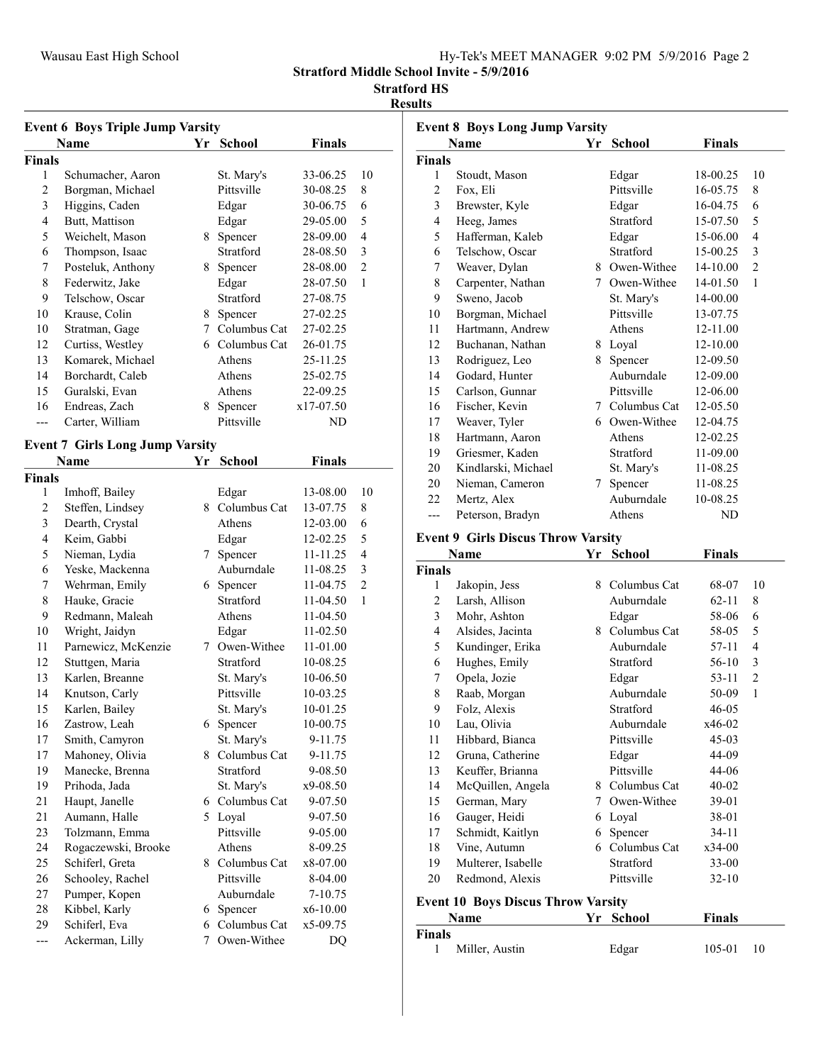|  | Hy-Tek's MEET MANAGER 9:02 PM 5/9/2016 Page 2 |  |  |
|--|-----------------------------------------------|--|--|
|  |                                               |  |  |

### Stratford HS

#### Results

|                | <b>Event 6 Boys Triple Jump Varsity</b> |    |                |               |                |
|----------------|-----------------------------------------|----|----------------|---------------|----------------|
|                | Name                                    | Yr | <b>School</b>  | <b>Finals</b> |                |
| <b>Finals</b>  |                                         |    |                |               |                |
| 1              | Schumacher, Aaron                       |    | St. Mary's     | 33-06.25      | 10             |
| 2              | Borgman, Michael                        |    | Pittsville     | 30-08.25      | 8              |
| 3              | Higgins, Caden                          |    | Edgar          | 30-06.75      | 6              |
| 4              | Butt, Mattison                          |    | Edgar          | 29-05.00      | 5              |
| 5              | Weichelt, Mason                         | 8. | Spencer        | 28-09.00      | $\overline{4}$ |
| 6              | Thompson, Isaac                         |    | Stratford      | 28-08.50      | 3              |
| 7              | Posteluk, Anthony                       | 8. | Spencer        | 28-08.00      | $\overline{2}$ |
| 8              | Federwitz, Jake                         |    | Edgar          | 28-07.50      | 1              |
| 9              | Telschow, Oscar                         |    | Stratford      | 27-08.75      |                |
| 10             | Krause, Colin                           | 8. | Spencer        | 27-02.25      |                |
| 10             | Stratman, Gage                          | 7  | Columbus Cat   | 27-02.25      |                |
| 12             | Curtiss, Westley                        |    | 6 Columbus Cat | 26-01.75      |                |
| 13             | Komarek, Michael                        |    | Athens         | 25-11.25      |                |
| 14             | Borchardt, Caleb                        |    | Athens         | 25-02.75      |                |
| 15             | Guralski, Evan                          |    | Athens         | 22-09.25      |                |
| 16             | Endreas, Zach                           | 8  | Spencer        | x17-07.50     |                |
| $---$          | Carter, William                         |    | Pittsville     | ND            |                |
|                |                                         |    |                |               |                |
|                | <b>Event 7 Girls Long Jump Varsity</b>  |    |                |               |                |
|                | Name                                    | Yr | <b>School</b>  | <b>Finals</b> |                |
| <b>Finals</b>  |                                         |    |                |               |                |
| 1              | Imhoff, Bailey                          |    | Edgar          | 13-08.00      | 10             |
| $\overline{c}$ | Steffen, Lindsey                        |    | 8 Columbus Cat | 13-07.75      | 8              |
| 3              | Dearth, Crystal                         |    | Athens         | 12-03.00      | 6              |
| 4              | Keim, Gabbi                             |    | Edgar          | 12-02.25      | 5              |
| 5              | Nieman, Lydia                           | 7  | Spencer        | 11-11.25      | 4              |
| 6              | Yeske, Mackenna                         |    | Auburndale     | 11-08.25      | 3              |
| 7              | Wehrman, Emily                          |    | 6 Spencer      | 11-04.75      | $\overline{2}$ |
| 8              | Hauke, Gracie                           |    | Stratford      | 11-04.50      | 1              |
| 9              | Redmann, Maleah                         |    | Athens         | 11-04.50      |                |
| 10             | Wright, Jaidyn                          |    | Edgar          | 11-02.50      |                |
| 11             | Parnewicz, McKenzie                     |    | 7 Owen-Withee  | 11-01.00      |                |
| 12             | Stuttgen, Maria                         |    | Stratford      | 10-08.25      |                |
| 13             | Karlen, Breanne                         |    | St. Mary's     | 10-06.50      |                |
| 14             | Knutson, Carly                          |    | Pittsville     | 10-03.25      |                |
| 15             | Karlen, Bailey                          |    | St. Mary's     | 10-01.25      |                |
| 16             | Zastrow, Leah                           |    | 6 Spencer      | 10-00.75      |                |
| 17             | Smith, Camyron                          |    | St. Mary's     | 9-11.75       |                |
| 17             | Mahoney, Olivia                         | 8. | Columbus Cat   | 9-11.75       |                |
| 19             | Manecke, Brenna                         |    | Stratford      | 9-08.50       |                |
| 19             | Prihoda, Jada                           |    | St. Mary's     | x9-08.50      |                |
| 21             | Haupt, Janelle                          | 6. | Columbus Cat   | 9-07.50       |                |
| 21             | Aumann, Halle                           |    | 5 Loyal        | 9-07.50       |                |
| 23             | Tolzmann, Emma                          |    | Pittsville     | 9-05.00       |                |
| 24             | Rogaczewski, Brooke                     |    | Athens         | 8-09.25       |                |
| 25             | Schiferl, Greta                         |    | 8 Columbus Cat | x8-07.00      |                |
| 26             | Schooley, Rachel                        |    | Pittsville     | 8-04.00       |                |
| 27             | Pumper, Kopen                           |    | Auburndale     | 7-10.75       |                |
| 28             | Kibbel, Karly                           | 6. | Spencer        | x6-10.00      |                |
| 29             | Schiferl, Eva                           | 6  | Columbus Cat   | x5-09.75      |                |
| $\overline{a}$ | Ackerman, Lilly                         | 7  | Owen-Withee    | DQ            |                |

|                | <b>Event 8 Boys Long Jump Varsity</b><br><b>Name</b> | Yr | <b>School</b>  | <b>Finals</b> |                |
|----------------|------------------------------------------------------|----|----------------|---------------|----------------|
| <b>Finals</b>  |                                                      |    |                |               |                |
| 1              | Stoudt, Mason                                        |    | Edgar          | 18-00.25      | 10             |
| $\overline{2}$ | Fox, Eli                                             |    | Pittsville     | 16-05.75      | 8              |
| 3              | Brewster, Kyle                                       |    | Edgar          | 16-04.75      | 6              |
| $\overline{4}$ | Heeg, James                                          |    | Stratford      | 15-07.50      | 5              |
| 5              | Hafferman, Kaleb                                     |    | Edgar          | 15-06.00      | 4              |
| 6              | Telschow, Oscar                                      |    | Stratford      | 15-00.25      | 3              |
| 7              | Weaver, Dylan                                        |    | 8 Owen-Withee  | 14-10.00      | $\overline{2}$ |
| 8              | Carpenter, Nathan                                    |    | 7 Owen-Withee  | 14-01.50      | $\mathbf{1}$   |
| 9              | Sweno, Jacob                                         |    | St. Mary's     | 14-00.00      |                |
| 10             | Borgman, Michael                                     |    | Pittsville     | 13-07.75      |                |
| 11             | Hartmann, Andrew                                     |    | Athens         | 12-11.00      |                |
| 12             | Buchanan, Nathan                                     |    | 8 Loyal        | 12-10.00      |                |
| 13             | Rodriguez, Leo                                       | 8  | Spencer        | 12-09.50      |                |
| 14             | Godard, Hunter                                       |    | Auburndale     | 12-09.00      |                |
| 15             | Carlson, Gunnar                                      |    | Pittsville     | 12-06.00      |                |
| 16             | Fischer, Kevin                                       |    | 7 Columbus Cat | 12-05.50      |                |
| 17             | Weaver, Tyler                                        |    | 6 Owen-Withee  | 12-04.75      |                |
| 18             | Hartmann, Aaron                                      |    | Athens         | 12-02.25      |                |
| 19             | Griesmer, Kaden                                      |    | Stratford      | 11-09.00      |                |
| 20             | Kindlarski, Michael                                  |    | St. Mary's     | 11-08.25      |                |
| 20             | Nieman, Cameron                                      | 7  | Spencer        | 11-08.25      |                |
| 22             | Mertz, Alex                                          |    | Auburndale     | 10-08.25      |                |
| ---            | Peterson, Bradyn                                     |    | Athens         | ND            |                |
|                | <b>Event 9 Girls Discus Throw Varsity</b>            |    |                |               |                |
|                | Name                                                 | Yr | <b>School</b>  | <b>Finals</b> |                |
| <b>Finals</b>  |                                                      |    |                |               |                |
| 1              | Jakopin, Jess                                        | 8  | Columbus Cat   | 68-07         | 10             |
|                |                                                      |    |                |               |                |

| г шаіз |                                           |    |                |           |    |
|--------|-------------------------------------------|----|----------------|-----------|----|
| 1      | Jakopin, Jess                             | 8. | Columbus Cat   | 68-07     | 10 |
| 2      | Larsh, Allison                            |    | Auburndale     | $62 - 11$ | 8  |
| 3      | Mohr, Ashton                              |    | Edgar          | 58-06     | 6  |
| 4      | Alsides, Jacinta                          |    | 8 Columbus Cat | 58-05     | 5  |
| 5      | Kundinger, Erika                          |    | Auburndale     | 57-11     | 4  |
| 6      | Hughes, Emily                             |    | Stratford      | 56-10     | 3  |
| 7      | Opela, Jozie                              |    | Edgar          | $53 - 11$ | 2  |
| 8      | Raab, Morgan                              |    | Auburndale     | 50-09     | 1  |
| 9      | Folz, Alexis                              |    | Stratford      | $46 - 05$ |    |
| 10     | Lau, Olivia                               |    | Auburndale     | $x46-02$  |    |
| 11     | Hibbard, Bianca                           |    | Pittsville     | $45-03$   |    |
| 12     | Gruna, Catherine                          |    | Edgar          | 44-09     |    |
| 13     | Keuffer, Brianna                          |    | Pittsville     | 44-06     |    |
| 14     | McQuillen, Angela                         |    | 8 Columbus Cat | $40 - 02$ |    |
| 15     | German, Mary                              |    | 7 Owen-Withee  | 39-01     |    |
| 16     | Gauger, Heidi                             | 6  | Loyal          | 38-01     |    |
| 17     | Schmidt, Kaitlyn                          | 6  | Spencer        | $34-11$   |    |
| 18     | Vine, Autumn                              |    | 6 Columbus Cat | $x34-00$  |    |
| 19     | Multerer, Isabelle                        |    | Stratford      | $33-00$   |    |
| 20     | Redmond, Alexis                           |    | Pittsville     | $32 - 10$ |    |
|        | <b>Event 10 Boys Discus Throw Varsity</b> |    |                |           |    |
|        | Name                                      | Yr | <b>School</b>  | Finals    |    |
| Finals |                                           |    |                |           |    |
| 1      | Miller, Austin                            |    | Edgar          | 105-01    | 10 |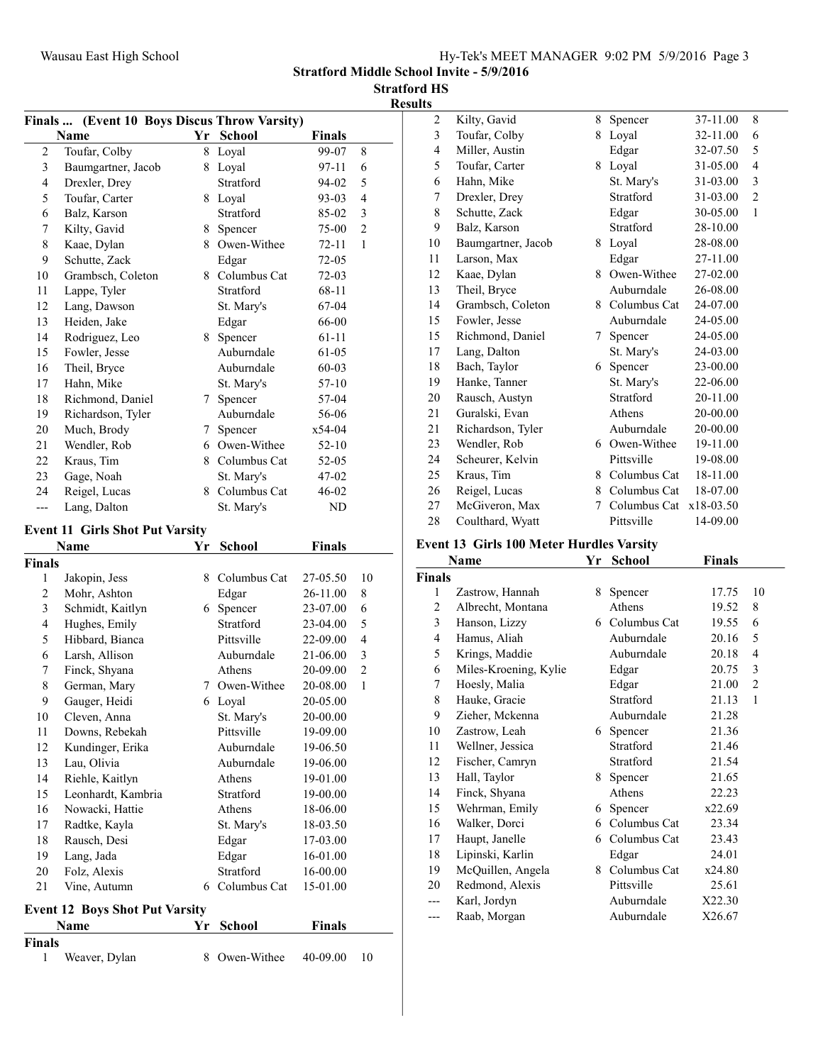|  |  | Hy-Tek's MEET MANAGER 9:02 PM 5/9/2016 Page 3 |  |  |  |  |
|--|--|-----------------------------------------------|--|--|--|--|
|--|--|-----------------------------------------------|--|--|--|--|

Stratford HS

Results

|                         | Finals  (Event 10 Boys Discus Throw Varsity)  |           |                  |                      |                |
|-------------------------|-----------------------------------------------|-----------|------------------|----------------------|----------------|
|                         | Name                                          | <b>Yr</b> | <b>School</b>    | <b>Finals</b>        |                |
| $\overline{c}$          | Toufar, Colby                                 | 8         | Loyal            | 99-07                | 8              |
| 3                       | Baumgartner, Jacob                            | 8         | Loyal            | 97-11                | 6              |
| $\overline{\mathbf{4}}$ | Drexler, Drey                                 |           | Stratford        | 94-02                | 5              |
| 5                       | Toufar, Carter                                |           | 8 Loyal          | 93-03                | $\overline{4}$ |
| 6                       | Balz, Karson                                  |           | Stratford        | 85-02                | 3              |
| 7                       | Kilty, Gavid                                  | 8         | Spencer          | 75-00                | $\overline{2}$ |
| $\,$ 8 $\,$             | Kaae, Dylan                                   | 8         | Owen-Withee      | 72-11                | 1              |
| 9                       | Schutte, Zack                                 |           | Edgar            | 72-05                |                |
| 10                      | Grambsch, Coleton                             |           | 8 Columbus Cat   | 72-03                |                |
| 11                      | Lappe, Tyler                                  |           | Stratford        | 68-11                |                |
| 12                      | Lang, Dawson                                  |           | St. Mary's       | 67-04                |                |
| 13                      | Heiden, Jake                                  |           | Edgar            | 66-00                |                |
| 14                      | Rodriguez, Leo                                | 8         | Spencer          | 61-11                |                |
| 15                      | Fowler, Jesse                                 |           | Auburndale       | 61-05                |                |
| 16                      | Theil, Bryce                                  |           | Auburndale       | $60 - 03$            |                |
| 17                      | Hahn, Mike                                    |           | St. Mary's       | 57-10                |                |
| 18                      | Richmond, Daniel                              | 7         | Spencer          | 57-04                |                |
| 19                      | Richardson, Tyler                             |           | Auburndale       | 56-06                |                |
| 20                      | Much, Brody                                   | 7         | Spencer          | x54-04               |                |
| 21                      | Wendler, Rob                                  |           | 6 Owen-Withee    | 52-10                |                |
| 22                      | Kraus, Tim                                    |           | 8 Columbus Cat   | 52-05                |                |
| 23                      | Gage, Noah                                    |           | St. Mary's       | 47-02                |                |
| 24                      | Reigel, Lucas                                 | 8         | Columbus Cat     | 46-02                |                |
| ---                     | Lang, Dalton                                  |           | St. Mary's       | ND                   |                |
|                         |                                               |           |                  |                      |                |
|                         | <b>Event 11 Girls Shot Put Varsity</b>        |           |                  |                      |                |
|                         | Name                                          | Yr        | School           | <b>Finals</b>        |                |
| Finals<br>$\mathbf{1}$  |                                               | 8         | Columbus Cat     |                      | 10             |
| $\mathfrak{2}$          | Jakopin, Jess                                 |           |                  | 27-05.50             |                |
| $\mathfrak{Z}$          | Mohr, Ashton<br>Schmidt, Kaitlyn              | 6         | Edgar<br>Spencer | 26-11.00<br>23-07.00 | 8<br>6         |
| 4                       | Hughes, Emily                                 |           | Stratford        | 23-04.00             | 5              |
| 5                       | Hibbard, Bianca                               |           | Pittsville       | 22-09.00             | $\overline{4}$ |
| 6                       | Larsh, Allison                                |           | Auburndale       | 21-06.00             | 3              |
| 7                       |                                               |           | Athens           | 20-09.00             | $\overline{2}$ |
|                         | Finck, Shyana<br>German, Mary                 |           |                  |                      |                |
| $\,$ 8 $\,$             |                                               |           |                  |                      |                |
|                         |                                               |           | 7 Owen-Withee    | 20-08.00             | $\mathbf{1}$   |
| 9                       | Gauger, Heidi                                 |           | 6 Loyal          | 20-05.00             |                |
| 10                      | Cleven, Anna                                  |           | St. Mary's       | 20-00.00             |                |
| 11                      | Downs, Rebekah                                |           | Pittsville       | 19-09.00             |                |
| 12                      | Kundinger, Erika                              |           | Auburndale       | 19-06.50             |                |
| 13                      | Lau, Olivia                                   |           | Auburndale       | 19-06.00             |                |
| 14                      | Riehle, Kaitlyn                               |           | Athens           | 19-01.00             |                |
| 15                      | Leonhardt, Kambria                            |           | Stratford        | 19-00.00             |                |
| 16                      | Nowacki, Hattie                               |           | Athens           | 18-06.00             |                |
| 17                      | Radtke, Kayla                                 |           | St. Mary's       | 18-03.50             |                |
| 18                      | Rausch, Desi                                  |           | Edgar            | 17-03.00             |                |
| 19                      | Lang, Jada                                    |           | Edgar            | 16-01.00             |                |
| $20\,$                  | Folz, Alexis                                  |           | Stratford        | 16-00.00             |                |
| 21                      | Vine, Autumn                                  |           | 6 Columbus Cat   | 15-01.00             |                |
|                         |                                               |           |                  |                      |                |
|                         | <b>Event 12 Boys Shot Put Varsity</b><br>Name | Yr        | School           | <b>Finals</b>        |                |
| Finals                  |                                               |           |                  |                      |                |

| 2              | Kilty, Gavid       | 8 | Spencer          | 37-11.00  | 8              |
|----------------|--------------------|---|------------------|-----------|----------------|
| 3              | Toufar, Colby      | 8 | Loyal            | 32-11.00  | 6              |
| $\overline{4}$ | Miller, Austin     |   | Edgar            | 32-07.50  | 5              |
| 5              | Toufar, Carter     |   | 8 Loyal          | 31-05.00  | $\overline{4}$ |
| 6              | Hahn, Mike         |   | St. Mary's       | 31-03.00  | 3              |
| 7              | Drexler, Drey      |   | Stratford        | 31-03.00  | $\mathbf{2}$   |
| 8              | Schutte, Zack      |   | Edgar            | 30-05.00  | $\mathbf{1}$   |
| 9              | Balz, Karson       |   | Stratford        | 28-10.00  |                |
| 10             | Baumgartner, Jacob |   | 8 Loyal          | 28-08.00  |                |
| 11             | Larson, Max        |   | Edgar            | 27-11.00  |                |
| 12             | Kaae, Dylan        |   | 8 Owen-Withee    | 27-02.00  |                |
| 13             | Theil, Bryce       |   | Auburndale       | 26-08.00  |                |
| 14             | Grambsch, Coleton  |   | 8 Columbus Cat   | 24-07.00  |                |
| 15             | Fowler, Jesse      |   | Auburndale       | 24-05.00  |                |
| 15             | Richmond, Daniel   | 7 | Spencer          | 24-05.00  |                |
| 17             | Lang, Dalton       |   | St. Mary's       | 24-03.00  |                |
| 18             | Bach, Taylor       | 6 | Spencer          | 23-00.00  |                |
| 19             | Hanke, Tanner      |   | St. Mary's       | 22-06.00  |                |
| 20             | Rausch, Austyn     |   | <b>Stratford</b> | 20-11.00  |                |
| 21             | Guralski, Evan     |   | Athens           | 20-00.00  |                |
| 21             | Richardson, Tyler  |   | Auburndale       | 20-00.00  |                |
| 23             | Wendler, Rob       |   | 6 Owen-Withee    | 19-11.00  |                |
| 24             | Scheurer, Kelvin   |   | Pittsville       | 19-08.00  |                |
| 25             | Kraus, Tim         | 8 | Columbus Cat     | 18-11.00  |                |
| 26             | Reigel, Lucas      | 8 | Columbus Cat     | 18-07.00  |                |
| 27             | McGiveron, Max     | 7 | Columbus Cat     | x18-03.50 |                |
| 28             | Coulthard, Wyatt   |   | Pittsville       | 14-09.00  |                |
|                |                    |   |                  |           |                |

# Event 13 Girls 100 Meter Hurdles Varsity

|               | Name                  | Yr | <b>School</b>  | Finals |                |
|---------------|-----------------------|----|----------------|--------|----------------|
| <b>Finals</b> |                       |    |                |        |                |
| 1             | Zastrow, Hannah       | 8  | Spencer        | 17.75  | 10             |
| 2             | Albrecht, Montana     |    | Athens         | 19.52  | 8              |
| 3             | Hanson, Lizzy         |    | 6 Columbus Cat | 19.55  | 6              |
| 4             | Hamus, Aliah          |    | Auburndale     | 20.16  | 5              |
| 5             | Krings, Maddie        |    | Auburndale     | 20.18  | 4              |
| 6             | Miles-Kroening, Kylie |    | Edgar          | 20.75  | 3              |
| 7             | Hoesly, Malia         |    | Edgar          | 21.00  | $\overline{2}$ |
| 8             | Hauke, Gracie         |    | Stratford      | 21.13  | 1              |
| 9             | Zieher, Mckenna       |    | Auburndale     | 21.28  |                |
| 10            | Zastrow, Leah         | 6  | Spencer        | 21.36  |                |
| 11            | Wellner, Jessica      |    | Stratford      | 21.46  |                |
| 12            | Fischer, Camryn       |    | Stratford      | 21.54  |                |
| 13            | Hall, Taylor          | 8  | Spencer        | 21.65  |                |
| 14            | Finck, Shyana         |    | Athens         | 22.23  |                |
| 15            | Wehrman, Emily        | 6  | Spencer        | x22.69 |                |
| 16            | Walker, Dorci         | 6. | Columbus Cat   | 23.34  |                |
| 17            | Haupt, Janelle        |    | 6 Columbus Cat | 23.43  |                |
| 18            | Lipinski, Karlin      |    | Edgar          | 24.01  |                |
| 19            | McQuillen, Angela     | 8  | Columbus Cat   | x24.80 |                |
| 20            | Redmond, Alexis       |    | Pittsville     | 25.61  |                |
|               | Karl, Jordyn          |    | Auburndale     | X22.30 |                |
| ---           | Raab, Morgan          |    | Auburndale     | X26.67 |                |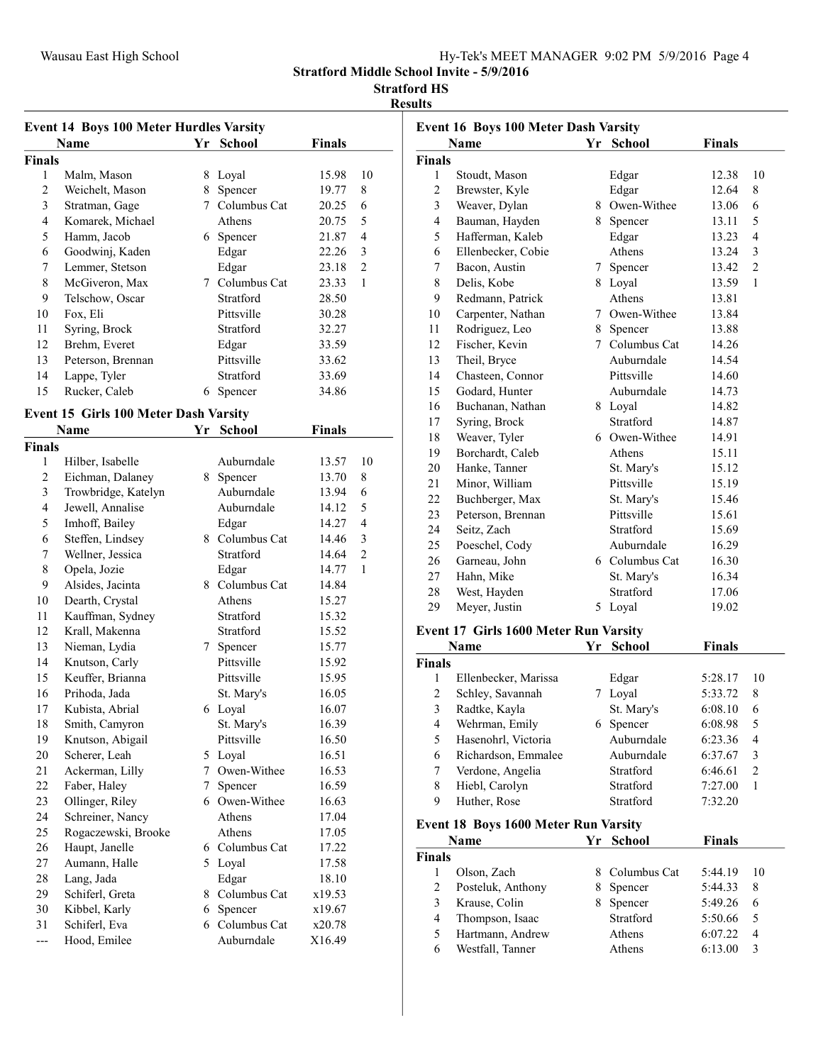| Hy-Tek's MEET MANAGER 9:02 PM 5/9/2016 Page 4 |
|-----------------------------------------------|
|-----------------------------------------------|

#### Stratford HS

#### Results

|                    | <b>Event 14 Boys 100 Meter Hurdles Varsity</b> |                 |                         |               |                |
|--------------------|------------------------------------------------|-----------------|-------------------------|---------------|----------------|
|                    | Name                                           | Yr              | <b>School</b>           | <b>Finals</b> |                |
| <b>Finals</b>      |                                                |                 |                         |               |                |
| 1                  | Malm, Mason                                    |                 | 8 Loyal                 | 15.98         | 10             |
| $\overline{2}$     | Weichelt, Mason                                | 8               | Spencer                 | 19.77         | 8              |
| 3                  | Stratman, Gage                                 | 7               | Columbus Cat            | 20.25         | 6              |
| 4                  | Komarek, Michael                               |                 | Athens                  | 20.75         | 5              |
| 5                  | Hamm, Jacob                                    |                 | 6 Spencer               | 21.87         | 4              |
| 6                  | Goodwinj, Kaden                                |                 | Edgar                   | 22.26         | 3              |
| 7                  | Lemmer, Stetson                                |                 | Edgar                   | 23.18         | $\overline{2}$ |
| 8                  | McGiveron, Max                                 |                 | 7 Columbus Cat          | 23.33         | 1              |
| 9                  | Telschow, Oscar                                |                 | Stratford               | 28.50         |                |
| 10                 | Fox, Eli                                       |                 | Pittsville              | 30.28         |                |
| 11                 | Syring, Brock                                  |                 | Stratford               | 32.27         |                |
| 12                 | Brehm, Everet                                  |                 | Edgar                   | 33.59         |                |
| 13                 | Peterson, Brennan                              |                 | Pittsville              | 33.62         |                |
| 14                 | Lappe, Tyler                                   |                 | Stratford               | 33.69         |                |
| 15                 | Rucker, Caleb                                  |                 | 6 Spencer               | 34.86         |                |
|                    |                                                |                 |                         |               |                |
|                    | Event 15 Girls 100 Meter Dash Varsity<br>Name  | Yr              | <b>School</b>           | <b>Finals</b> |                |
|                    |                                                |                 |                         |               |                |
| <b>Finals</b><br>1 |                                                |                 | Auburndale              |               | 10             |
| $\overline{c}$     | Hilber, Isabelle                               |                 |                         | 13.57         | 8              |
|                    | Eichman, Dalaney                               |                 | 8 Spencer<br>Auburndale | 13.70         |                |
| 3                  | Trowbridge, Katelyn                            |                 |                         | 13.94         | 6              |
| 4                  | Jewell, Annalise                               |                 | Auburndale              | 14.12         | 5              |
| 5                  | Imhoff, Bailey                                 |                 | Edgar                   | 14.27         | $\overline{4}$ |
| 6                  | Steffen, Lindsey                               |                 | 8 Columbus Cat          | 14.46         | 3              |
| 7                  | Wellner, Jessica                               |                 | Stratford               | 14.64         | $\mathfrak{2}$ |
| 8                  | Opela, Jozie                                   |                 | Edgar                   | 14.77         | 1              |
| 9                  | Alsides, Jacinta                               |                 | 8 Columbus Cat          | 14.84         |                |
| 10                 | Dearth, Crystal                                |                 | Athens                  | 15.27         |                |
| 11                 | Kauffman, Sydney                               |                 | Stratford               | 15.32         |                |
| 12                 | Krall, Makenna                                 |                 | Stratford               | 15.52         |                |
| 13                 | Nieman, Lydia                                  |                 | 7 Spencer               | 15.77         |                |
| 14                 | Knutson, Carly                                 |                 | Pittsville              | 15.92         |                |
| 15                 | Keuffer, Brianna                               |                 | Pittsville              | 15.95         |                |
| 16                 | Prihoda, Jada                                  |                 | St. Mary's              | 16.05         |                |
| 17                 | Kubista, Abrial                                |                 | 6 Loyal                 | 16.07         |                |
| 18                 | Smith, Camyron                                 |                 | St. Mary's              | 16.39         |                |
| 19                 | Knutson, Abigail                               |                 | Pittsville              | 16.50         |                |
| 20                 | Scherer, Leah                                  |                 | 5 Loyal                 | 16.51         |                |
| 21                 | Ackerman, Lilly                                | $7\phantom{.0}$ | Owen-Withee             | 16.53         |                |
| 22                 | Faber, Haley                                   | 7               | Spencer                 | 16.59         |                |
| 23                 | Ollinger, Riley                                |                 | 6 Owen-Withee           | 16.63         |                |
| 24                 | Schreiner, Nancy                               |                 | Athens                  | 17.04         |                |
| 25                 | Rogaczewski, Brooke                            |                 | Athens                  | 17.05         |                |
| 26                 | Haupt, Janelle                                 |                 | 6 Columbus Cat          | 17.22         |                |
| 27                 | Aumann, Halle                                  |                 | 5 Loyal                 | 17.58         |                |
| 28                 | Lang, Jada                                     |                 | Edgar                   | 18.10         |                |
| 29                 | Schiferl, Greta                                |                 | 8 Columbus Cat          | x19.53        |                |
| 30                 | Kibbel, Karly                                  |                 | 6 Spencer               | x19.67        |                |
| 31                 | Schiferl, Eva                                  |                 | 6 Columbus Cat          | x20.78        |                |
| ---                | Hood, Emilee                                   |                 | Auburndale              | X16.49        |                |

|                | <b>Event 16 Boys 100 Meter Dash Varsity</b> |    |                  |               |                |
|----------------|---------------------------------------------|----|------------------|---------------|----------------|
|                | <b>Name</b>                                 | Yr | <b>School</b>    | <b>Finals</b> |                |
| Finals         |                                             |    |                  |               |                |
| $\mathbf{1}$   | Stoudt, Mason                               |    | Edgar            | 12.38         | 10             |
| $\overline{c}$ | Brewster, Kyle                              |    | Edgar            | 12.64         | 8              |
| 3              | Weaver, Dylan                               |    | 8 Owen-Withee    | 13.06         | 6              |
| $\overline{4}$ | Bauman, Hayden                              | 8. | Spencer          | 13.11         | 5              |
| 5              | Hafferman, Kaleb                            |    | Edgar            | 13.23         | $\overline{4}$ |
| 6              | Ellenbecker, Cobie                          |    | Athens           | 13.24         | 3              |
| 7              | Bacon, Austin                               | 7  | Spencer          | 13.42         | $\overline{2}$ |
| 8              | Delis, Kobe                                 | 8  | Loyal            | 13.59         | $\mathbf{1}$   |
| 9              | Redmann, Patrick                            |    | Athens           | 13.81         |                |
| 10             | Carpenter, Nathan                           |    | 7 Owen-Withee    | 13.84         |                |
| 11             | Rodriguez, Leo                              |    | 8 Spencer        | 13.88         |                |
| 12             | Fischer, Kevin                              |    | 7 Columbus Cat   | 14.26         |                |
| 13             | Theil, Bryce                                |    | Auburndale       | 14.54         |                |
| 14             | Chasteen, Connor                            |    | Pittsville       | 14.60         |                |
| 15             | Godard, Hunter                              |    | Auburndale       | 14.73         |                |
| 16             | Buchanan, Nathan                            |    | 8 Loyal          | 14.82         |                |
| 17             | Syring, Brock                               |    | <b>Stratford</b> | 14.87         |                |
| 18             | Weaver, Tyler                               |    | 6 Owen-Withee    | 14.91         |                |
| 19             | Borchardt, Caleb                            |    | Athens           | 15.11         |                |
| 20             | Hanke, Tanner                               |    | St. Mary's       | 15.12         |                |
| 21             | Minor, William                              |    | Pittsville       | 15.19         |                |
| 22             | Buchberger, Max                             |    | St. Mary's       | 15.46         |                |
| 23             | Peterson, Brennan                           |    | Pittsville       | 15.61         |                |
| 24             | Seitz, Zach                                 |    | Stratford        | 15.69         |                |
| 25             | Poeschel, Cody                              |    | Auburndale       | 16.29         |                |
| 26             | Garneau, John                               |    | 6 Columbus Cat   | 16.30         |                |
| 27             | Hahn, Mike                                  |    | St. Mary's       | 16.34         |                |
| 28             | West, Hayden                                |    | Stratford        | 17.06         |                |
| 29             | Meyer, Justin                               |    | 5 Loyal          | 19.02         |                |
|                | Event 17 Girls 1600 Meter Run Varsitv       |    |                  |               |                |

# Name **Finals Finals Finals**

| <b>Finals</b>        |   |            |         |                    |
|----------------------|---|------------|---------|--------------------|
| Ellenbecker, Marissa |   | Edgar      | 5:28.17 | 10                 |
| Schley, Savannah     | Ί | Loyal      | 5:33.72 | 8                  |
| Radtke, Kayla        |   | St. Mary's | 6:08.10 | 6                  |
| Wehrman, Emily       | 6 | Spencer    | 6:08.98 | 5                  |
| Hasenohrl, Victoria  |   | Auburndale | 6:23.36 | 4                  |
| Richardson, Emmalee  |   | Auburndale | 6:37.67 | 3                  |
| Verdone, Angelia     |   | Stratford  | 6:46.61 | $\mathfrak{D}_{1}$ |
| Hiebl, Carolyn       |   | Stratford  | 7:27.00 |                    |
| Huther, Rose         |   | Stratford  | 7:32.20 |                    |
|                      |   |            |         |                    |

# Event 18 Boys 1600 Meter Run Varsity

| Name          |                   |   | Yr School      | <b>Finals</b> |                |
|---------------|-------------------|---|----------------|---------------|----------------|
| <b>Finals</b> |                   |   |                |               |                |
|               | Olson, Zach       |   | 8 Columbus Cat | 5:44.19       | 10             |
| 2             | Posteluk, Anthony | 8 | Spencer        | 5:44.33       | 8              |
| 3             | Krause, Colin     | 8 | Spencer        | 5:49.26       | 6              |
| 4             | Thompson, Isaac   |   | Stratford      | 5:50.66       | 5              |
| 5             | Hartmann, Andrew  |   | Athens         | 6:07.22       | $\overline{4}$ |
| 6             | Westfall, Tanner  |   | Athens         | 6:13.00       |                |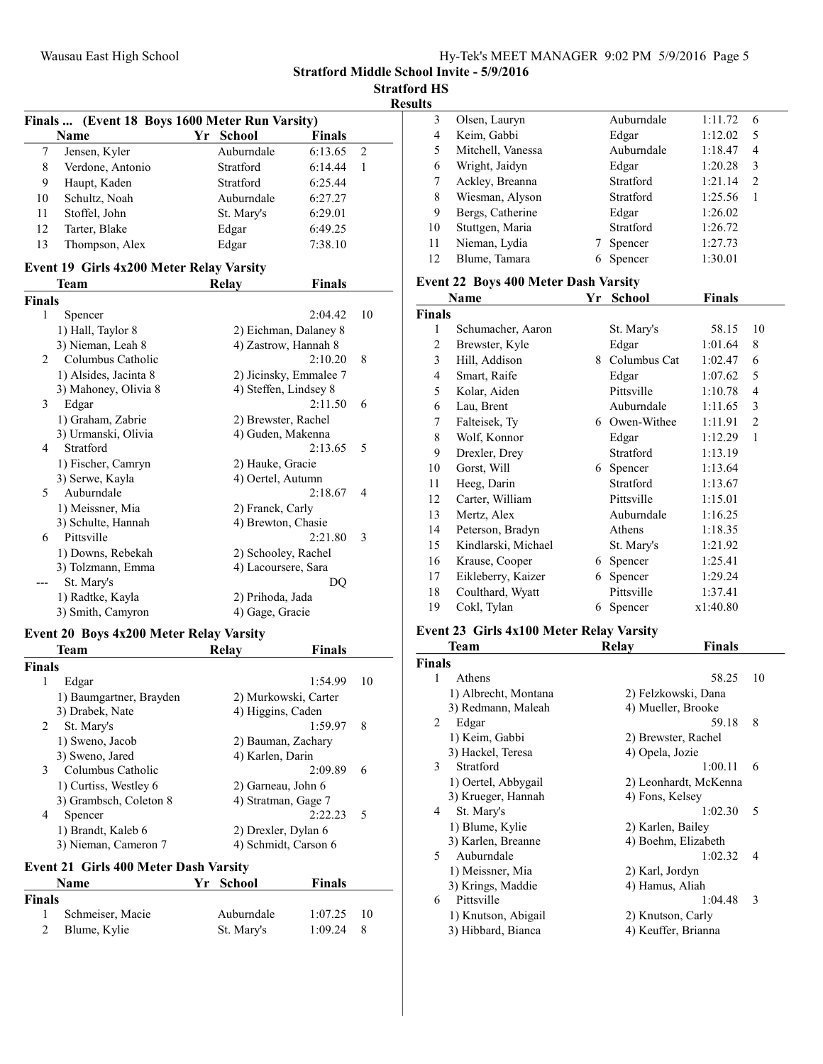Stratford Middle School Invite - 5/9/2016

Stratford HS

| <b>Results</b> |
|----------------|
|----------------|

|    |                  | Finals  (Event 18 Boys 1600 Meter Run Varsity) |                          |  |
|----|------------------|------------------------------------------------|--------------------------|--|
|    | Name             | Yr School                                      | <b>Finals</b>            |  |
|    | Jensen, Kyler    | Auburndale                                     | 6:13.65<br>$\mathcal{L}$ |  |
| 8  | Verdone, Antonio | Stratford                                      | 6:14.44                  |  |
| 9  | Haupt, Kaden     | Stratford                                      | 6:25.44                  |  |
| 10 | Schultz, Noah    | Auburndale                                     | 6:27.27                  |  |
| 11 | Stoffel, John    | St. Mary's                                     | 6:29.01                  |  |
| 12 | Tarter, Blake    | Edgar                                          | 6:49.25                  |  |
| 13 | Thompson, Alex   | Edgar                                          | 7:38.10                  |  |

# Event 19 Girls 4x200 Meter Relay Varsity

|               | Team                  | Relay               | Finals                 |    |
|---------------|-----------------------|---------------------|------------------------|----|
| <b>Finals</b> |                       |                     |                        |    |
| 1             | Spencer               |                     | 2:04.42                | 10 |
|               | 1) Hall, Taylor 8     |                     | 2) Eichman, Dalaney 8  |    |
|               | 3) Nieman, Leah 8     |                     | 4) Zastrow, Hannah 8   |    |
| 2             | Columbus Catholic     |                     | 2:10.20                | 8  |
|               | 1) Alsides, Jacinta 8 |                     | 2) Jicinsky, Emmalee 7 |    |
|               | 3) Mahoney, Olivia 8  |                     | 4) Steffen, Lindsey 8  |    |
| 3             | Edgar                 |                     | 2:11.50                | 6  |
|               | 1) Graham, Zabrie     | 2) Brewster, Rachel |                        |    |
|               | 3) Urmanski, Olivia   | 4) Guden, Makenna   |                        |    |
| 4             | Stratford             |                     | 2:13.65                | 5  |
|               | 1) Fischer, Camryn    | 2) Hauke, Gracie    |                        |    |
|               | 3) Serwe, Kayla       | 4) Oertel, Autumn   |                        |    |
| 5             | Auburndale            |                     | 2:18.67                | 4  |
|               | 1) Meissner, Mia      | 2) Franck, Carly    |                        |    |
|               | 3) Schulte, Hannah    | 4) Brewton, Chasie  |                        |    |
| 6             | Pittsville            |                     | 2:21.80                | 3  |
|               | 1) Downs, Rebekah     | 2) Schooley, Rachel |                        |    |
|               | 3) Tolzmann, Emma     | 4) Lacoursere, Sara |                        |    |
|               | St. Mary's            |                     | DQ                     |    |
|               | 1) Radtke, Kayla      | 2) Prihoda, Jada    |                        |    |
|               | 3) Smith, Camyron     | 4) Gage, Gracie     |                        |    |

### Event 20 Boys 4x200 Meter Relay Varsity

|               | <b>Team</b>             | Relav             | <b>Finals</b>        |    |
|---------------|-------------------------|-------------------|----------------------|----|
| <b>Finals</b> |                         |                   |                      |    |
| 1             | Edgar                   |                   | 1:54.99              | 10 |
|               | 1) Baumgartner, Brayden |                   | 2) Murkowski, Carter |    |
|               | 3) Drabek, Nate         | 4) Higgins, Caden |                      |    |
| 2             | St. Mary's              |                   | 1:59.97              | 8  |
|               | 1) Sweno, Jacob         |                   | 2) Bauman, Zachary   |    |
|               | 3) Sweno, Jared         | 4) Karlen, Darin  |                      |    |
| 3             | Columbus Catholic       |                   | 2:09.89              | 6  |
|               | 1) Curtiss, Westley 6   |                   | 2) Garneau, John 6   |    |
|               | 3) Grambsch, Coleton 8  |                   | 4) Stratman, Gage 7  |    |
| 4             | Spencer                 |                   | 2:22.23              | 5  |
|               | 1) Brandt, Kaleb 6      |                   | 2) Drexler, Dylan 6  |    |
|               | 3) Nieman, Cameron 7    |                   | 4) Schmidt, Carson 6 |    |

# Event 21 Girls 400 Meter Dash Varsity<br>Name Vr. School

| <b>Name</b>   |                  | Yr School  | <b>Finals</b> |     |  |
|---------------|------------------|------------|---------------|-----|--|
| <b>Finals</b> |                  |            |               |     |  |
|               | Schmeiser, Macie | Auburndale | 1:07.25       | -10 |  |
| 2             | Blume, Kylie     | St. Mary's | $1:09.24$ 8   |     |  |

| 3  | Olsen, Lauryn     | Auburndale | 1:11.72 | 6 |
|----|-------------------|------------|---------|---|
| 4  | Keim, Gabbi       | Edgar      | 1:12.02 | 5 |
| 5  | Mitchell, Vanessa | Auburndale | 1:18.47 | 4 |
| 6  | Wright, Jaidyn    | Edgar      | 1:20.28 | 3 |
|    | Ackley, Breanna   | Stratford  | 1:21.14 | 2 |
| 8  | Wiesman, Alyson   | Stratford  | 1:25.56 |   |
| 9  | Bergs, Catherine  | Edgar      | 1:26.02 |   |
| 10 | Stuttgen, Maria   | Stratford  | 1:26.72 |   |
| 11 | Nieman, Lydia     | Spencer    | 1:27.73 |   |
| 12 | Blume, Tamara     | Spencer    | 1:30.01 |   |
|    |                   |            |         |   |

## Event 22 Boys 400 Meter Dash Varsity

|                | Name                | Yr | <b>School</b>  | Finals   |    |
|----------------|---------------------|----|----------------|----------|----|
| <b>Finals</b>  |                     |    |                |          |    |
| 1              | Schumacher, Aaron   |    | St. Mary's     | 58.15    | 10 |
| 2              | Brewster, Kyle      |    | Edgar          | 1:01.64  | 8  |
| 3              | Hill, Addison       |    | 8 Columbus Cat | 1:02.47  | 6  |
| $\overline{4}$ | Smart, Raife        |    | Edgar          | 1:07.62  | 5  |
| 5              | Kolar, Aiden        |    | Pittsville     | 1:10.78  | 4  |
| 6              | Lau, Brent          |    | Auburndale     | 1:11.65  | 3  |
| 7              | Falteisek, Ty       |    | 6 Owen-Withee  | 1:11.91  | 2  |
| 8              | Wolf, Konnor        |    | Edgar          | 1:12.29  | 1  |
| 9              | Drexler, Drey       |    | Stratford      | 1:13.19  |    |
| 10             | Gorst, Will         | 6  | Spencer        | 1:13.64  |    |
| 11             | Heeg, Darin         |    | Stratford      | 1:13.67  |    |
| 12             | Carter, William     |    | Pittsville     | 1:15.01  |    |
| 13             | Mertz, Alex         |    | Auburndale     | 1:16.25  |    |
| 14             | Peterson, Bradyn    |    | Athens         | 1:18.35  |    |
| 15             | Kindlarski, Michael |    | St. Mary's     | 1:21.92  |    |
| 16             | Krause, Cooper      | 6  | Spencer        | 1:25.41  |    |
| 17             | Eikleberry, Kaizer  | 6  | Spencer        | 1:29.24  |    |
| 18             | Coulthard, Wyatt    |    | Pittsville     | 1:37.41  |    |
| 19             | Cokl, Tylan         | 6  | Spencer        | x1:40.80 |    |

### Event 23 Girls 4x100 Meter Relay Varsity

|               | Team                 | Relay              | <b>Finals</b>         |  |
|---------------|----------------------|--------------------|-----------------------|--|
| <b>Finals</b> |                      |                    |                       |  |
| 1             | Athens               |                    | 58.25<br>10           |  |
|               | 1) Albrecht, Montana |                    | 2) Felzkowski, Dana   |  |
|               | 3) Redmann, Maleah   | 4) Mueller, Brooke |                       |  |
| 2             | Edgar                |                    | 8<br>59.18            |  |
|               | 1) Keim, Gabbi       |                    | 2) Brewster, Rachel   |  |
|               | 3) Hackel, Teresa    | 4) Opela, Jozie    |                       |  |
| 3             | Stratford            |                    | 1:00.11<br>6          |  |
|               | 1) Oertel, Abbygail  |                    | 2) Leonhardt, McKenna |  |
|               | 3) Krueger, Hannah   | 4) Fons, Kelsey    |                       |  |
| 4             | St. Mary's           |                    | 1:02.30<br>5          |  |
|               | 1) Blume, Kylie      | 2) Karlen, Bailey  |                       |  |
|               | 3) Karlen, Breanne   |                    | 4) Boehm, Elizabeth   |  |
| 5.            | Auburndale           |                    | 1:02.32<br>4          |  |
|               | 1) Meissner, Mia     | 2) Karl, Jordyn    |                       |  |
|               | 3) Krings, Maddie    | 4) Hamus, Aliah    |                       |  |
| 6             | Pittsville           |                    | 1:04.48<br>3          |  |
|               | 1) Knutson, Abigail  | 2) Knutson, Carly  |                       |  |
|               | 3) Hibbard, Bianca   |                    | 4) Keuffer, Brianna   |  |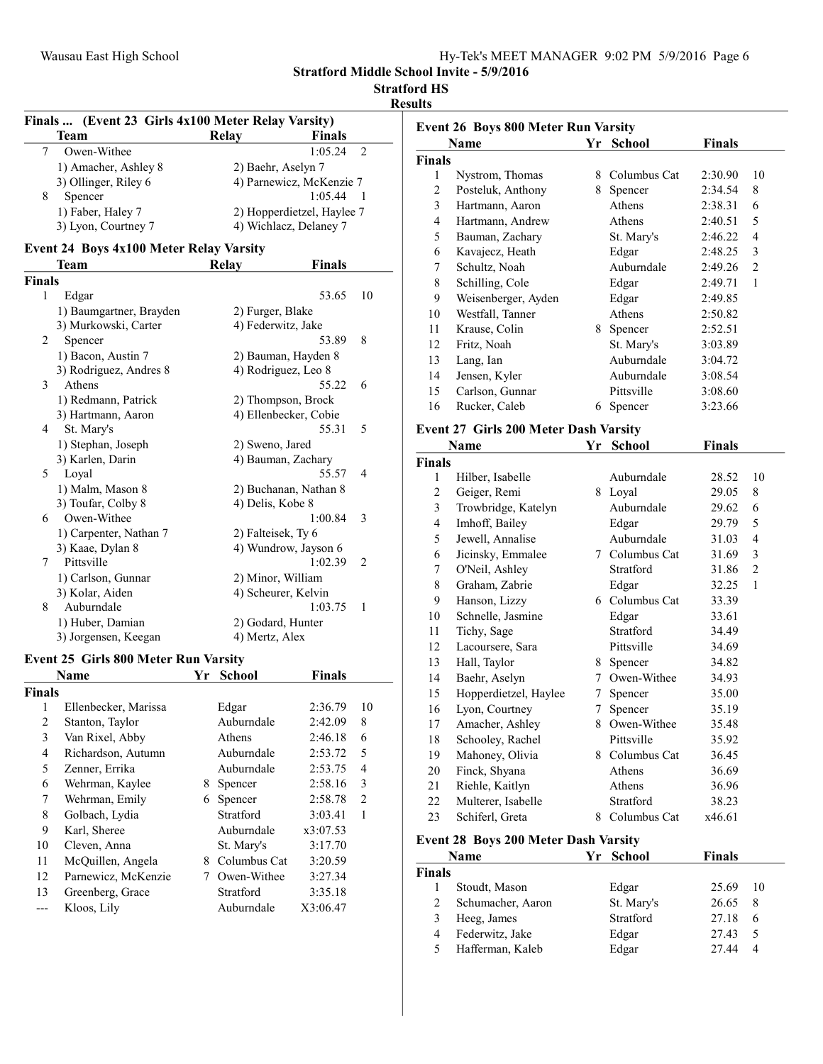|  | Hy-Tek's MEET MANAGER 9:02 PM 5/9/2016 Page 6 |  |  |
|--|-----------------------------------------------|--|--|
|  |                                               |  |  |

# Stratford HS

Results

|               | Finals  (Event 23 Girls 4x100 Meter Relay Varsity) |    |                          |                            |                |
|---------------|----------------------------------------------------|----|--------------------------|----------------------------|----------------|
|               | <b>Team</b>                                        |    | Relay                    | <b>Finals</b>              |                |
| 7             | Owen-Withee                                        |    |                          | 1:05.24                    | $\overline{c}$ |
|               | 1) Amacher, Ashley 8                               |    | 2) Baehr, Aselyn 7       |                            |                |
|               | 3) Ollinger, Riley 6                               |    | 4) Parnewicz, McKenzie 7 |                            |                |
| 8             | Spencer                                            |    |                          | 1:05.44                    | 1              |
|               | 1) Faber, Haley 7                                  |    |                          | 2) Hopperdietzel, Haylee 7 |                |
|               | 3) Lyon, Courtney 7                                |    |                          | 4) Wichlacz, Delaney 7     |                |
|               | <b>Event 24 Boys 4x100 Meter Relay Varsity</b>     |    |                          |                            |                |
|               | Team                                               |    | <b>Relay</b>             | <b>Finals</b>              |                |
| <b>Finals</b> |                                                    |    |                          |                            |                |
| 1             | Edgar                                              |    |                          | 53.65                      | 10             |
|               | 1) Baumgartner, Brayden                            |    | 2) Furger, Blake         |                            |                |
|               | 3) Murkowski, Carter                               |    | 4) Federwitz, Jake       |                            |                |
| 2             | Spencer                                            |    |                          | 53.89                      | 8              |
|               | 1) Bacon, Austin 7                                 |    |                          | 2) Bauman, Hayden 8        |                |
|               | 3) Rodriguez, Andres 8                             |    | 4) Rodriguez, Leo 8      |                            |                |
| 3             | Athens                                             |    |                          | 55.22                      | 6              |
|               | 1) Redmann, Patrick                                |    |                          | 2) Thompson, Brock         |                |
|               | 3) Hartmann, Aaron                                 |    |                          | 4) Ellenbecker, Cobie      |                |
| 4             | St. Mary's                                         |    |                          | 55.31                      | 5              |
|               | 1) Stephan, Joseph                                 |    | 2) Sweno, Jared          |                            |                |
|               | 3) Karlen, Darin                                   |    |                          | 4) Bauman, Zachary         |                |
| 5             | Loyal                                              |    |                          | 55.57                      | 4              |
|               | 1) Malm, Mason 8                                   |    | 2) Buchanan, Nathan 8    |                            |                |
|               | 3) Toufar, Colby 8                                 |    | 4) Delis, Kobe 8         |                            |                |
| 6             | Owen-Withee                                        |    |                          | 1:00.84                    | 3              |
|               | 1) Carpenter, Nathan 7                             |    | 2) Falteisek, Ty 6       |                            |                |
|               | 3) Kaae, Dylan 8                                   |    |                          | 4) Wundrow, Jayson 6       |                |
| 7             | Pittsville                                         |    |                          | 1:02.39                    | 2              |
|               | 1) Carlson, Gunnar                                 |    | 2) Minor, William        |                            |                |
|               | 3) Kolar, Aiden                                    |    | 4) Scheurer, Kelvin      |                            |                |
| 8             | Auburndale                                         |    |                          | 1:03.75                    | 1              |
|               | 1) Huber, Damian                                   |    | 2) Godard, Hunter        |                            |                |
|               | 3) Jorgensen, Keegan                               |    | 4) Mertz, Alex           |                            |                |
|               | <b>Event 25 Girls 800 Meter Run Varsity</b>        |    |                          |                            |                |
|               | Name                                               | Yr | <b>School</b>            | <b>Finals</b>              |                |
| <b>Finals</b> |                                                    |    |                          |                            |                |
| 1             | Ellenbecker, Marissa                               |    | Edgar                    | 2:36.79                    | 10             |
|               |                                                    |    |                          |                            |                |

| шаіз |                      |   |              |          |                |
|------|----------------------|---|--------------|----------|----------------|
| 1    | Ellenbecker, Marissa |   | Edgar        | 2:36.79  | 10             |
| 2    | Stanton, Taylor      |   | Auburndale   | 2:42.09  | 8              |
| 3    | Van Rixel, Abby      |   | Athens       | 2:46.18  | 6              |
| 4    | Richardson, Autumn   |   | Auburndale   | 2:53.72  | 5              |
| 5    | Zenner, Errika       |   | Auburndale   | 2:53.75  | 4              |
| 6    | Wehrman, Kaylee      | 8 | Spencer      | 2:58.16  | 3              |
| 7    | Wehrman, Emily       | 6 | Spencer      | 2:58.78  | $\overline{2}$ |
| 8    | Golbach, Lydia       |   | Stratford    | 3:03.41  | 1              |
| 9    | Karl, Sheree         |   | Auburndale   | x3:07.53 |                |
| 10   | Cleven, Anna         |   | St. Mary's   | 3:17.70  |                |
| 11   | McQuillen, Angela    | 8 | Columbus Cat | 3:20.59  |                |
| 12   | Parnewicz, McKenzie  |   | Owen-Withee  | 3:27.34  |                |
| 13   | Greenberg, Grace     |   | Stratford    | 3:35.18  |                |
|      | Kloos, Lily          |   | Auburndale   | X3:06.47 |                |
|      |                      |   |              |          |                |

| <b>Event 26 Boys 800 Meter Run Varsity</b> |                                                      |    |                |               |                |
|--------------------------------------------|------------------------------------------------------|----|----------------|---------------|----------------|
|                                            | <b>Name</b>                                          | Yr | <b>School</b>  | <b>Finals</b> |                |
| Finals                                     |                                                      |    |                |               |                |
| 1                                          | Nystrom, Thomas                                      |    | 8 Columbus Cat | 2:30.90       | 10             |
| $\mathfrak{2}$                             | Posteluk, Anthony                                    |    | 8 Spencer      | 2:34.54       | 8              |
| 3                                          | Hartmann, Aaron                                      |    | Athens         | 2:38.31       | 6              |
| $\overline{4}$                             | Hartmann, Andrew                                     |    | Athens         | 2:40.51       | 5              |
| 5                                          | Bauman, Zachary                                      |    | St. Mary's     | 2:46.22       | 4              |
| 6                                          | Kavajecz, Heath                                      |    | Edgar          | 2:48.25       | 3              |
| 7                                          | Schultz, Noah                                        |    | Auburndale     | 2:49.26       | $\overline{2}$ |
| 8                                          | Schilling, Cole                                      |    | Edgar          | 2:49.71       | 1              |
| 9                                          | Weisenberger, Ayden                                  |    | Edgar          | 2:49.85       |                |
| 10                                         | Westfall, Tanner                                     |    | Athens         | 2:50.82       |                |
| 11                                         | Krause, Colin                                        |    | 8 Spencer      | 2:52.51       |                |
| 12                                         | Fritz, Noah                                          |    | St. Mary's     | 3:03.89       |                |
| 13                                         | Lang, Ian                                            |    | Auburndale     | 3:04.72       |                |
| 14                                         | Jensen, Kyler                                        |    | Auburndale     | 3:08.54       |                |
| 15                                         | Carlson, Gunnar                                      |    | Pittsville     | 3:08.60       |                |
| 16                                         | Rucker, Caleb                                        | 6  | Spencer        | 3:23.66       |                |
|                                            |                                                      |    |                |               |                |
|                                            | <b>Event 27 Girls 200 Meter Dash Varsity</b><br>Name |    | School         |               |                |
|                                            |                                                      | Yr |                | <b>Finals</b> |                |
| Finals                                     |                                                      |    |                |               |                |
| 1                                          | Hilber, Isabelle                                     |    | Auburndale     | 28.52         | 10             |
| $\overline{c}$                             | Geiger, Remi                                         |    | 8 Loyal        | 29.05         | 8              |
| 3                                          | Trowbridge, Katelyn                                  |    | Auburndale     | 29.62         | 6              |
| 4                                          | Imhoff, Bailey                                       |    | Edgar          | 29.79         | 5              |
| 5                                          | Jewell, Annalise                                     |    | Auburndale     | 31.03         | $\overline{4}$ |
| 6                                          | Jicinsky, Emmalee                                    |    | 7 Columbus Cat | 31.69         | 3              |
| 7                                          | O'Neil, Ashley                                       |    | Stratford      | 31.86         | $\mathfrak{2}$ |
| 8                                          | Graham, Zabrie                                       |    | Edgar          | 32.25         | 1              |
| 9                                          | Hanson, Lizzy                                        |    | 6 Columbus Cat | 33.39         |                |
| 10                                         | Schnelle, Jasmine                                    |    | Edgar          | 33.61         |                |
| 11                                         | Tichy, Sage                                          |    | Stratford      | 34.49         |                |
| 12                                         | Lacoursere, Sara                                     |    | Pittsville     | 34.69         |                |
| 13                                         | Hall, Taylor                                         |    | 8 Spencer      | 34.82         |                |
| 14                                         | Baehr, Aselyn                                        |    | 7 Owen-Withee  | 34.93         |                |
| 15                                         | Hopperdietzel, Haylee                                | 7  | Spencer        | 35.00         |                |
| 16                                         | Lyon, Courtney                                       | 7  | Spencer        | 35.19         |                |
| 17                                         | Amacher, Ashley                                      |    | 8 Owen-Withee  | 35.48         |                |
| 18                                         | Schooley, Rachel                                     |    | Pittsville     | 35.92         |                |
| 19                                         | Mahoney, Olivia                                      |    | 8 Columbus Cat | 36.45         |                |
| $20\,$                                     | Finck, Shyana                                        |    | Athens         | 36.69         |                |
| 21                                         | Riehle, Kaitlyn                                      |    | Athens         | 36.96         |                |
| 22                                         | Multerer, Isabelle                                   |    | Stratford      | 38.23         |                |
| 23                                         | Schiferl, Greta                                      | 8  | Columbus Cat   | x46.61        |                |
|                                            | <b>Event 28 Boys 200 Meter Dash Varsity</b>          |    |                |               |                |
| Yr<br><b>Finals</b><br>Name<br>School      |                                                      |    |                |               |                |
| Finals                                     |                                                      |    |                |               |                |
| 1                                          | Stoudt, Mason                                        |    | Edgar          | 25.69         | 10             |

| 2 | Schumacher, Aaron  | St. Mary's | 26.65 8 |
|---|--------------------|------------|---------|
|   | 3 Heeg, James      | Stratford  | 27.18 6 |
|   | 4 Federwitz, Jake  | Edgar      | 27.43 5 |
|   | 5 Hafferman, Kaleb | Edgar      | 27.44 4 |